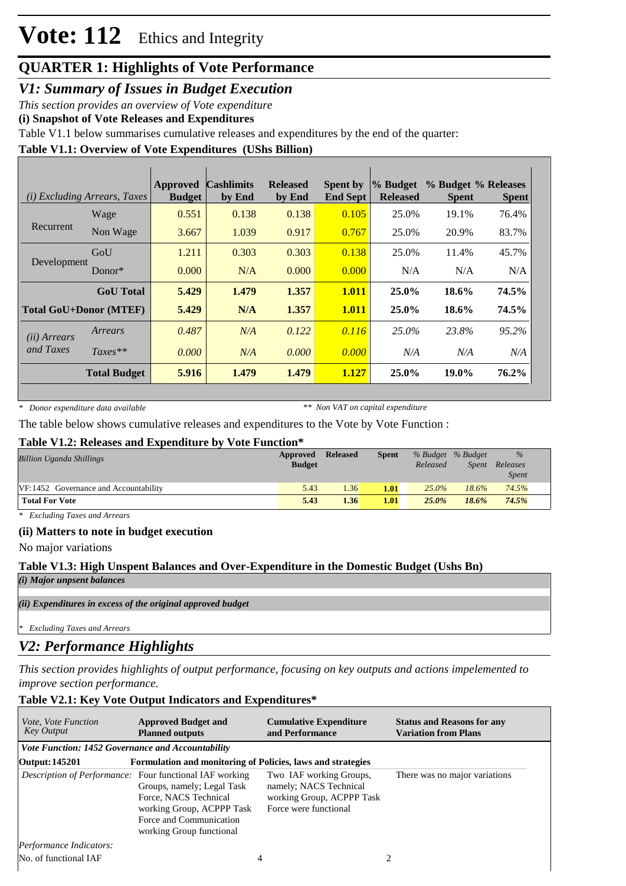# **Vote: 112** Ethics and Integrity

### **QUARTER 1: Highlights of Vote Performance**

*V1: Summary of Issues in Budget Execution*

*This section provides an overview of Vote expenditure* 

**(i) Snapshot of Vote Releases and Expenditures**

Table V1.1 below summarises cumulative releases and expenditures by the end of the quarter:

#### **Table V1.1: Overview of Vote Expenditures (UShs Billion)**

| ( <i>i</i> ) Excluding Arrears, Taxes |                               | <b>Approved</b><br><b>Budget</b> | <b>Cashlimits</b><br>by End | <b>Released</b><br>by End | <b>Spent by</b><br><b>End Sept</b> | % Budget<br><b>Released</b> | % Budget % Releases<br><b>Spent</b> | <b>Spent</b> |
|---------------------------------------|-------------------------------|----------------------------------|-----------------------------|---------------------------|------------------------------------|-----------------------------|-------------------------------------|--------------|
|                                       | Wage                          | 0.551                            | 0.138                       | 0.138                     | 0.105                              | 25.0%                       | 19.1%                               | 76.4%        |
| Recurrent                             | Non Wage                      | 3.667                            | 1.039                       | 0.917                     | 0.767                              | 25.0%                       | 20.9%                               | 83.7%        |
| Development                           | GoU                           | 1.211                            | 0.303                       | 0.303                     | 0.138                              | 25.0%                       | 11.4%                               | 45.7%        |
|                                       | $Donor*$                      | 0.000                            | N/A                         | 0.000                     | 0.000                              | N/A                         | N/A                                 | N/A          |
|                                       | <b>GoU</b> Total              | 5.429                            | 1.479                       | 1.357                     | 1.011                              | $25.0\%$                    | 18.6%                               | 74.5%        |
|                                       | <b>Total GoU+Donor (MTEF)</b> | 5.429                            | N/A                         | 1.357                     | 1.011                              | 25.0%                       | 18.6%                               | 74.5%        |
| ( <i>ii</i> ) Arrears                 | Arrears                       | 0.487                            | N/A                         | 0.122                     | 0.116                              | $25.0\%$                    | 23.8%                               | 95.2%        |
| and Taxes                             | $Taxes**$                     | 0.000                            | N/A                         | 0.000                     | 0.000                              | N/A                         | N/A                                 | N/A          |
|                                       | <b>Total Budget</b>           | 5.916                            | 1.479                       | 1.479                     | 1.127                              | $25.0\%$                    | 19.0%                               | 76.2%        |

*\* Donor expenditure data available*

*\*\* Non VAT on capital expenditure*

The table below shows cumulative releases and expenditures to the Vote by Vote Function :

#### **Table V1.2: Releases and Expenditure by Vote Function\***

| <b>Billion Uganda Shillings</b>       | Approved<br><b>Budget</b> | <b>Released</b> | <b>Spent</b> | % Budget % Budget<br>Released | Spent    | $\%$<br>Releases<br><i>Spent</i> |
|---------------------------------------|---------------------------|-----------------|--------------|-------------------------------|----------|----------------------------------|
| VF:1452 Governance and Accountability | 5.43                      | 1.36            | 1.01         | $25.0\%$                      | $18.6\%$ | 74.5%                            |
| <b>Total For Vote</b>                 | 5.43                      | 1.36            | 1.01         | $25.0\%$                      | 18.6%    | 74.5%                            |

*\* Excluding Taxes and Arrears*

#### **(ii) Matters to note in budget execution**

No major variations

## **Table V1.3: High Unspent Balances and Over-Expenditure in the Domestic Budget (Ushs Bn)**

*(i) Major unpsent balances*

*(ii) Expenditures in excess of the original approved budget*

*\* Excluding Taxes and Arrears*

### *V2: Performance Highlights*

*This section provides highlights of output performance, focusing on key outputs and actions impelemented to improve section performance.*

#### **Table V2.1: Key Vote Output Indicators and Expenditures\***

| <i>Vote, Vote Function</i><br><b>Key Output</b>   | <b>Approved Budget and</b><br><b>Planned outputs</b>                                                                                                                                                      | <b>Cumulative Expenditure</b><br>and Performance                                                        | <b>Status and Reasons for any</b><br><b>Variation from Plans</b> |
|---------------------------------------------------|-----------------------------------------------------------------------------------------------------------------------------------------------------------------------------------------------------------|---------------------------------------------------------------------------------------------------------|------------------------------------------------------------------|
| Vote Function: 1452 Governance and Accountability |                                                                                                                                                                                                           |                                                                                                         |                                                                  |
| Output: 145201                                    | Formulation and monitoring of Policies, laws and strategies                                                                                                                                               |                                                                                                         |                                                                  |
|                                                   | <i>Description of Performance:</i> Four functional IAF working<br>Groups, namely; Legal Task<br>Force, NACS Technical<br>working Group, ACPPP Task<br>Force and Communication<br>working Group functional | Two IAF working Groups,<br>namely; NACS Technical<br>working Group, ACPPP Task<br>Force were functional | There was no major variations                                    |
| Performance Indicators:                           |                                                                                                                                                                                                           |                                                                                                         |                                                                  |
| No. of functional IAF                             |                                                                                                                                                                                                           | 4                                                                                                       | 2                                                                |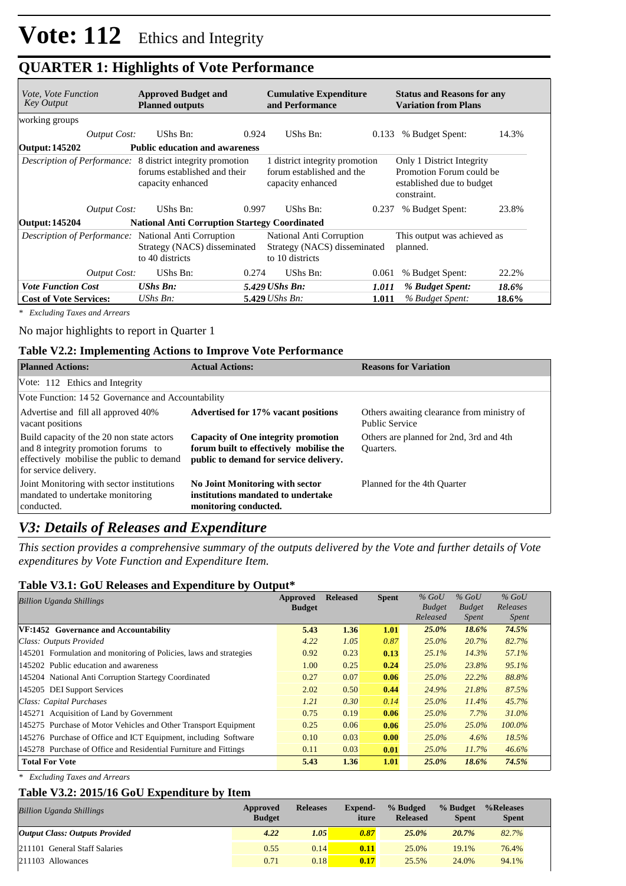# **QUARTER 1: Highlights of Vote Performance**

| <i>Vote, Vote Function</i><br>Key Output |                     | <b>Approved Budget and</b><br><b>Planned outputs</b>                                                                   |       | <b>Cumulative Expenditure</b><br>and Performance                                 |       | <b>Status and Reasons for any</b><br><b>Variation from Plans</b>                                  |       |
|------------------------------------------|---------------------|------------------------------------------------------------------------------------------------------------------------|-------|----------------------------------------------------------------------------------|-------|---------------------------------------------------------------------------------------------------|-------|
| working groups                           |                     |                                                                                                                        |       |                                                                                  |       |                                                                                                   |       |
|                                          | <i>Output Cost:</i> | UShs Bn:                                                                                                               | 0.924 | UShs Bn:                                                                         | 0.133 | % Budget Spent:                                                                                   | 14.3% |
| Output: 145202                           |                     | <b>Public education and awareness</b>                                                                                  |       |                                                                                  |       |                                                                                                   |       |
|                                          |                     | <i>Description of Performance:</i> 8 district integrity promotion<br>forums established and their<br>capacity enhanced |       | 1 district integrity promotion<br>forum established and the<br>capacity enhanced |       | Only 1 District Integrity<br>Promotion Forum could be<br>established due to budget<br>constraint. |       |
|                                          | <b>Output Cost:</b> | UShs Bn:                                                                                                               | 0.997 | UShs Bn:                                                                         | 0.237 | % Budget Spent:                                                                                   | 23.8% |
| <b>Output: 145204</b>                    |                     | <b>National Anti Corruption Startegy Coordinated</b>                                                                   |       |                                                                                  |       |                                                                                                   |       |
|                                          |                     | <i>Description of Performance:</i> National Anti Corruption<br>Strategy (NACS) disseminated<br>to 40 districts         |       | National Anti Corruption<br>Strategy (NACS) disseminated<br>to 10 districts      |       | This output was achieved as<br>planned.                                                           |       |
|                                          | Output Cost:        | UShs Bn:                                                                                                               | 0.274 | UShs Bn:                                                                         | 0.061 | % Budget Spent:                                                                                   | 22.2% |
| <b>Vote Function Cost</b>                |                     | <b>UShs Bn:</b>                                                                                                        |       | 5.429 UShs Bn:                                                                   | 1.011 | % Budget Spent:                                                                                   | 18.6% |
| <b>Cost of Vote Services:</b>            |                     | $UShs Bn$ :                                                                                                            |       | $5.429$ UShs Bn:                                                                 | 1.011 | % Budget Spent:                                                                                   | 18.6% |

*\* Excluding Taxes and Arrears*

#### No major highlights to report in Quarter 1

#### **Table V2.2: Implementing Actions to Improve Vote Performance**

| <b>Planned Actions:</b>                                                                                                                                | <b>Actual Actions:</b>                                                                                                   | <b>Reasons for Variation</b>                                        |  |  |  |  |  |  |
|--------------------------------------------------------------------------------------------------------------------------------------------------------|--------------------------------------------------------------------------------------------------------------------------|---------------------------------------------------------------------|--|--|--|--|--|--|
| Vote: 112 Ethics and Integrity                                                                                                                         |                                                                                                                          |                                                                     |  |  |  |  |  |  |
|                                                                                                                                                        | Vote Function: 1452 Governance and Accountability                                                                        |                                                                     |  |  |  |  |  |  |
| Advertise and fill all approved 40%<br>vacant positions                                                                                                | Advertised for 17% vacant positions                                                                                      | Others awaiting clearance from ministry of<br><b>Public Service</b> |  |  |  |  |  |  |
| Build capacity of the 20 non state actors<br>and 8 integrity promotion forums to<br>effectively mobilise the public to demand<br>for service delivery. | Capacity of One integrity promotion<br>forum built to effectively mobilise the<br>public to demand for service delivery. | Others are planned for 2nd, 3rd and 4th<br>Quarters.                |  |  |  |  |  |  |
| Joint Monitoring with sector institutions<br>mandated to undertake monitoring<br>conducted.                                                            | No Joint Monitoring with sector<br>institutions mandated to undertake<br>monitoring conducted.                           | Planned for the 4th Quarter                                         |  |  |  |  |  |  |

### *V3: Details of Releases and Expenditure*

*This section provides a comprehensive summary of the outputs delivered by the Vote and further details of Vote expenditures by Vote Function and Expenditure Item.*

#### **Table V3.1: GoU Releases and Expenditure by Output\***

| <b>Billion Uganda Shillings</b>                                    | Approved      | <b>Released</b> | <b>Spent</b> | $%$ GoU                   | $%$ GoU                       | $%$ GoU                  |  |
|--------------------------------------------------------------------|---------------|-----------------|--------------|---------------------------|-------------------------------|--------------------------|--|
|                                                                    | <b>Budget</b> |                 |              | <b>Budget</b><br>Released | <b>Budget</b><br><i>Spent</i> | Releases<br><i>Spent</i> |  |
| VF:1452 Governance and Accountability                              | 5.43          | 1.36            | 1.01         | 25.0%                     | 18.6%                         | 74.5%                    |  |
|                                                                    |               |                 |              |                           |                               |                          |  |
| Class: Outputs Provided                                            | 4.22          | 1.05            | 0.87         | $25.0\%$                  | 20.7%                         | 82.7%                    |  |
| 145201 Formulation and monitoring of Policies, laws and strategies | 0.92          | 0.23            | 0.13         | 25.1%                     | 14.3%                         | 57.1%                    |  |
| 145202 Public education and awareness                              | 1.00          | 0.25            | 0.24         | $25.0\%$                  | 23.8%                         | 95.1%                    |  |
| 145204 National Anti Corruption Startegy Coordinated               | 0.27          | 0.07            | 0.06         | $25.0\%$                  | 22.2%                         | 88.8%                    |  |
| 145205 DEI Support Services                                        | 2.02          | 0.50            | 0.44         | 24.9%                     | 21.8%                         | 87.5%                    |  |
| Class: Capital Purchases                                           | 1.21          | 0.30            | 0.14         | $25.0\%$                  | 11.4%                         | 45.7%                    |  |
| 145271 Acquisition of Land by Government                           | 0.75          | 0.19            | 0.06         | $25.0\%$                  | 7.7%                          | 31.0%                    |  |
| 145275 Purchase of Motor Vehicles and Other Transport Equipment    | 0.25          | 0.06            | 0.06         | $25.0\%$                  | $25.0\%$                      | $100.0\%$                |  |
| 145276 Purchase of Office and ICT Equipment, including Software    | 0.10          | 0.03            | 0.00         | $25.0\%$                  | 4.6%                          | 18.5%                    |  |
| 145278 Purchase of Office and Residential Furniture and Fittings   | 0.11          | 0.03            | 0.01         | $25.0\%$                  | 11.7%                         | 46.6%                    |  |
| <b>Total For Vote</b>                                              | 5.43          | 1.36            | 1.01         | 25.0%                     | 18.6%                         | 74.5%                    |  |

*\* Excluding Taxes and Arrears*

#### **Table V3.2: 2015/16 GoU Expenditure by Item**

| <b>Billion Uganda Shillings</b>       | Approved<br><b>Budget</b> | <b>Releases</b> | Expend-<br>iture | % Budged<br><b>Released</b> | % Budget<br><b>Spent</b> | %Releases<br><b>Spent</b> |
|---------------------------------------|---------------------------|-----------------|------------------|-----------------------------|--------------------------|---------------------------|
| <b>Output Class: Outputs Provided</b> | 4.22                      | 1.05            | 0.87             | 25.0%                       | 20.7%                    | 82.7%                     |
| 211101 General Staff Salaries         | 0.55                      | 0.14            | 0.11             | 25.0%                       | 19.1%                    | 76.4%                     |
| $ 211103$ Allowances                  | 0.71                      | 0.18            | 0.17             | 25.5%                       | 24.0%                    | 94.1%                     |